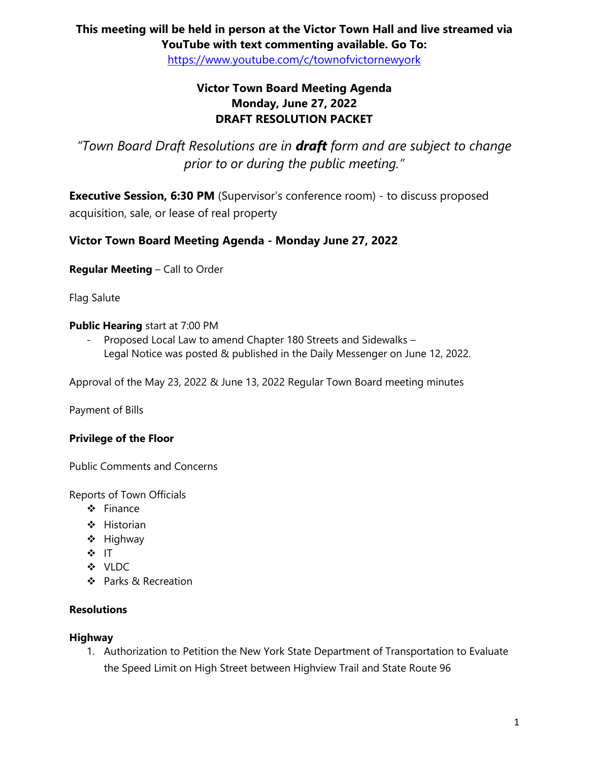## **This meeting will be held in person at the Victor Town Hall and live streamed via YouTube with text commenting available. Go To:**

<https://www.youtube.com/c/townofvictornewyork>

## **Victor Town Board Meeting Agenda Monday, June 27, 2022 DRAFT RESOLUTION PACKET**

*"Town Board Draft Resolutions are in draft form and are subject to change prior to or during the public meeting."*

**Executive Session, 6:30 PM** (Supervisor's conference room) - to discuss proposed acquisition, sale, or lease of real property

## **Victor Town Board Meeting Agenda - Monday June 27, 2022**

**Regular Meeting** – Call to Order

Flag Salute

#### **Public Hearing** start at 7:00 PM

- Proposed Local Law to amend Chapter 180 Streets and Sidewalks – Legal Notice was posted & published in the Daily Messenger on June 12, 2022.

Approval of the May 23, 2022 & June 13, 2022 Regular Town Board meeting minutes

Payment of Bills

## **Privilege of the Floor**

Public Comments and Concerns

Reports of Town Officials

- ❖ Finance
- ❖ Historian
- ❖ Highway
- ❖ IT
- ❖ VLDC
- ❖ Parks & Recreation

#### **Resolutions**

#### **Highway**

1. Authorization to Petition the New York State Department of Transportation to Evaluate the Speed Limit on High Street between Highview Trail and State Route 96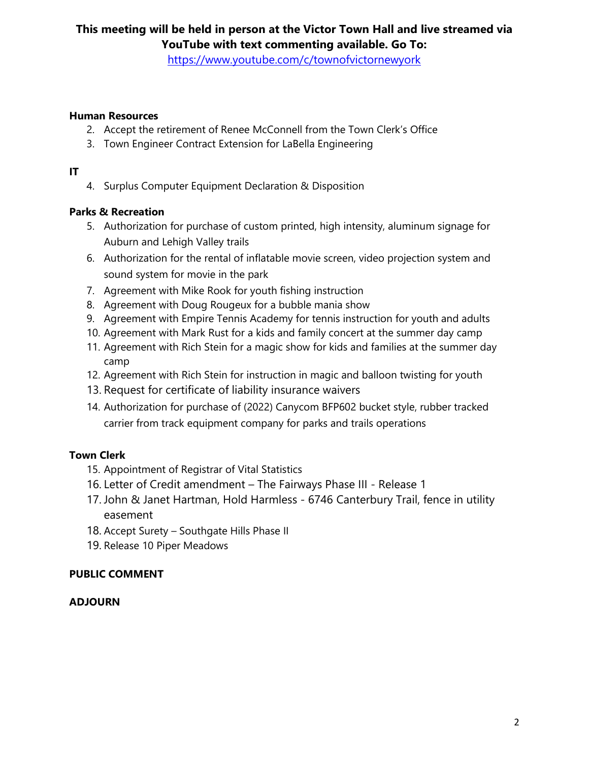## **This meeting will be held in person at the Victor Town Hall and live streamed via YouTube with text commenting available. Go To:**

<https://www.youtube.com/c/townofvictornewyork>

#### **Human Resources**

- 2. Accept the retirement of Renee McConnell from the Town Clerk's Office
- 3. Town Engineer Contract Extension for LaBella Engineering

#### **IT**

4. Surplus Computer Equipment Declaration & Disposition

## **Parks & Recreation**

- 5. Authorization for purchase of custom printed, high intensity, aluminum signage for Auburn and Lehigh Valley trails
- 6. Authorization for the rental of inflatable movie screen, video projection system and sound system for movie in the park
- 7. Agreement with Mike Rook for youth fishing instruction
- 8. Agreement with Doug Rougeux for a bubble mania show
- 9. Agreement with Empire Tennis Academy for tennis instruction for youth and adults
- 10. Agreement with Mark Rust for a kids and family concert at the summer day camp
- 11. Agreement with Rich Stein for a magic show for kids and families at the summer day camp
- 12. Agreement with Rich Stein for instruction in magic and balloon twisting for youth
- 13. Request for certificate of liability insurance waivers
- 14. Authorization for purchase of (2022) Canycom BFP602 bucket style, rubber tracked carrier from track equipment company for parks and trails operations

## **Town Clerk**

- 15. Appointment of Registrar of Vital Statistics
- 16. Letter of Credit amendment The Fairways Phase III Release 1
- 17. John & Janet Hartman, Hold Harmless 6746 Canterbury Trail, fence in utility easement
- 18. Accept Surety Southgate Hills Phase II
- 19. Release 10 Piper Meadows

## **PUBLIC COMMENT**

## **ADJOURN**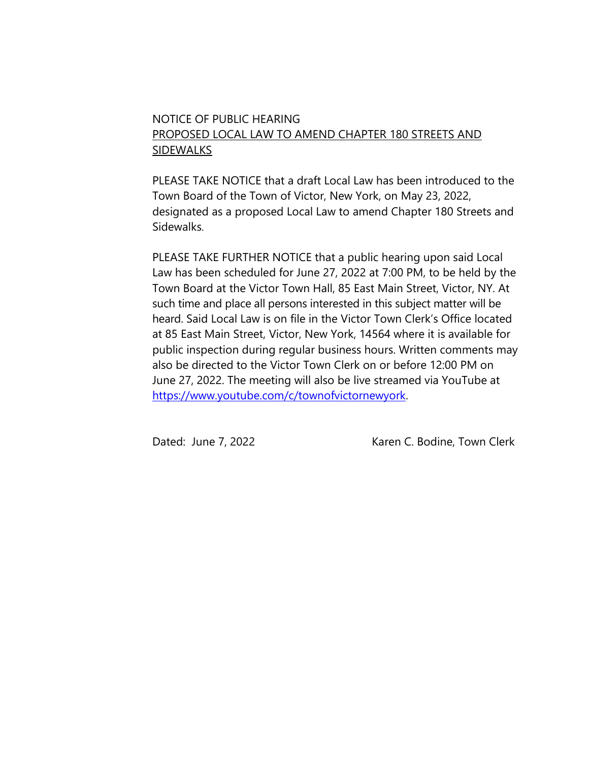## NOTICE OF PUBLIC HEARING PROPOSED LOCAL LAW TO AMEND CHAPTER 180 STREETS AND SIDEWALKS

PLEASE TAKE NOTICE that a draft Local Law has been introduced to the Town Board of the Town of Victor, New York, on May 23, 2022, designated as a proposed Local Law to amend Chapter 180 Streets and Sidewalks.

PLEASE TAKE FURTHER NOTICE that a public hearing upon said Local Law has been scheduled for June 27, 2022 at 7:00 PM, to be held by the Town Board at the Victor Town Hall, 85 East Main Street, Victor, NY. At such time and place all persons interested in this subject matter will be heard. Said Local Law is on file in the Victor Town Clerk's Office located at 85 East Main Street, Victor, New York, 14564 where it is available for public inspection during regular business hours. Written comments may also be directed to the Victor Town Clerk on or before 12:00 PM on June 27, 2022. The meeting will also be live streamed via YouTube at [https://www.youtube.com/c/townofvictornewyork.](https://www.youtube.com/c/townofvictornewyork)

Dated: June 7, 2022 Maren C. Bodine, Town Clerk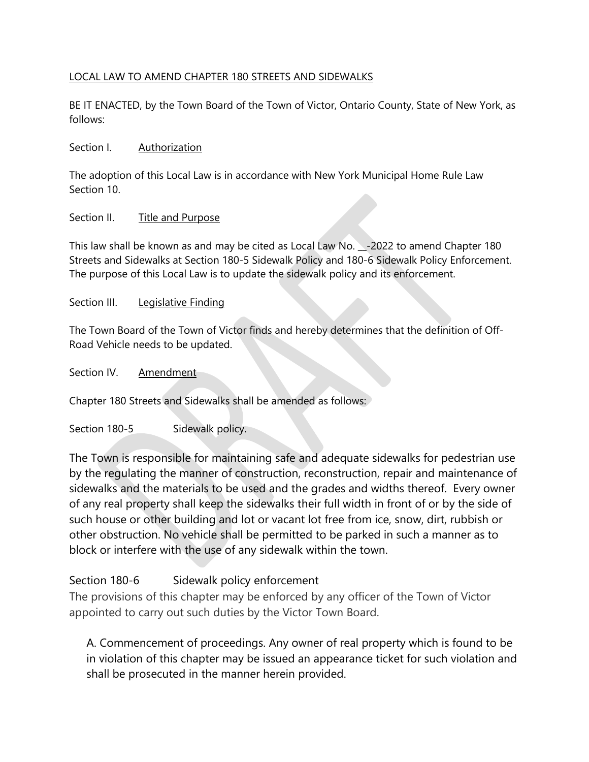#### LOCAL LAW TO AMEND CHAPTER 180 STREETS AND SIDEWALKS

BE IT ENACTED, by the Town Board of the Town of Victor, Ontario County, State of New York, as follows:

#### Section I. Authorization

The adoption of this Local Law is in accordance with New York Municipal Home Rule Law Section 10.

#### Section II. Title and Purpose

This law shall be known as and may be cited as Local Law No. -2022 to amend Chapter 180 Streets and Sidewalks at Section 180-5 Sidewalk Policy and 180-6 Sidewalk Policy Enforcement. The purpose of this Local Law is to update the sidewalk policy and its enforcement.

#### Section III. Legislative Finding

The Town Board of the Town of Victor finds and hereby determines that the definition of Off-Road Vehicle needs to be updated.

#### Section IV. Amendment

Chapter 180 Streets and Sidewalks shall be amended as follows:

Section 180-5 Sidewalk policy.

The Town is responsible for maintaining safe and adequate sidewalks for pedestrian use by the regulating the manner of construction, reconstruction, repair and maintenance of sidewalks and the materials to be used and the grades and widths thereof. Every owner of any real property shall keep the sidewalks their full width in front of or by the side of such house or other building and lot or vacant lot free from ice, snow, dirt, rubbish or other obstruction. No vehicle shall be permitted to be parked in such a manner as to block or interfere with the use of any sidewalk within the town.

## Section 180-6 Sidewalk policy enforcement

The provisions of this chapter may be enforced by any officer of the Town of Victor appointed to carry out such duties by the Victor Town Board.

A. Commencement of proceedings. Any owner of real property which is found to be in violation of this chapter may be issued an appearance ticket for such violation and shall be prosecuted in the manner herein provided.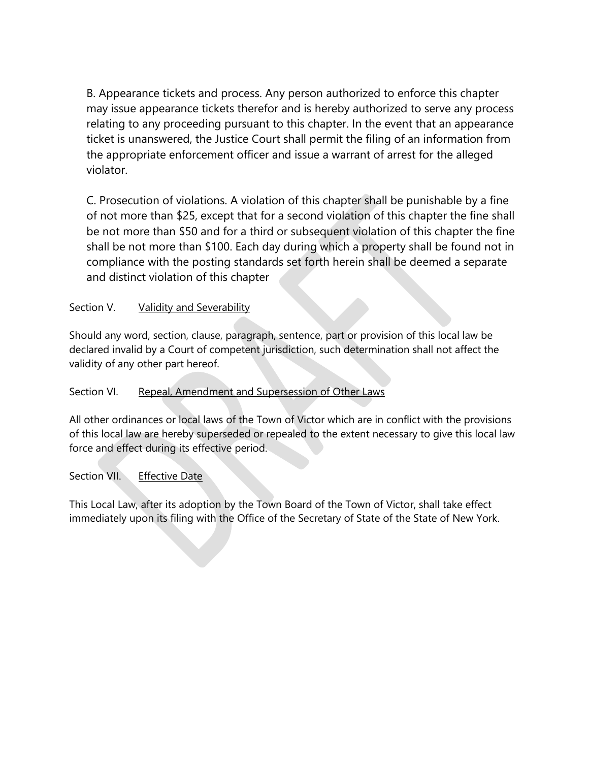B. Appearance tickets and process. Any person authorized to enforce this chapter may issue appearance tickets therefor and is hereby authorized to serve any process relating to any proceeding pursuant to this chapter. In the event that an appearance ticket is unanswered, the Justice Court shall permit the filing of an information from the appropriate enforcement officer and issue a warrant of arrest for the alleged violator.

C. Prosecution of violations. A violation of this chapter shall be punishable by a fine of not more than \$25, except that for a second violation of this chapter the fine shall be not more than \$50 and for a third or subsequent violation of this chapter the fine shall be not more than \$100. Each day during which a property shall be found not in compliance with the posting standards set forth herein shall be deemed a separate and distinct violation of this chapter

## Section V. Validity and Severability

Should any word, section, clause, paragraph, sentence, part or provision of this local law be declared invalid by a Court of competent jurisdiction, such determination shall not affect the validity of any other part hereof.

#### Section VI. Repeal, Amendment and Supersession of Other Laws

All other ordinances or local laws of the Town of Victor which are in conflict with the provisions of this local law are hereby superseded or repealed to the extent necessary to give this local law force and effect during its effective period.

## Section VII. Effective Date

This Local Law, after its adoption by the Town Board of the Town of Victor, shall take effect immediately upon its filing with the Office of the Secretary of State of the State of New York.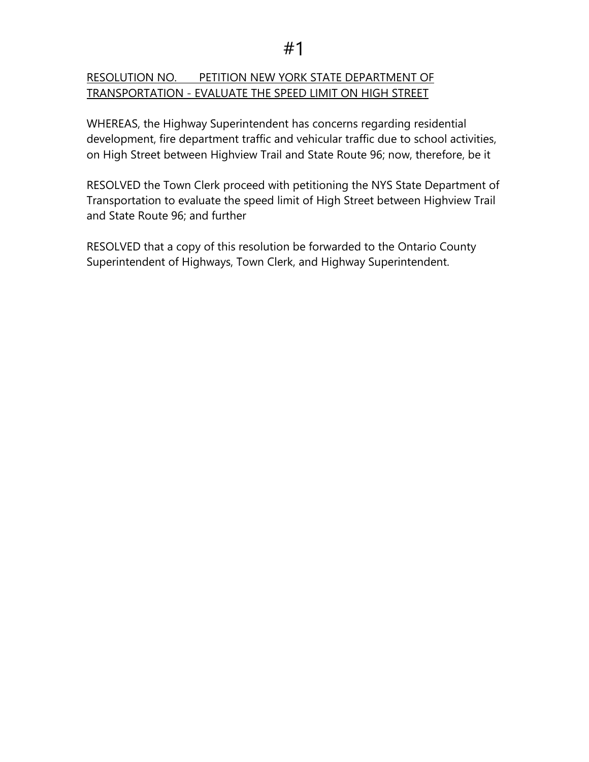## RESOLUTION NO. PETITION NEW YORK STATE DEPARTMENT OF TRANSPORTATION - EVALUATE THE SPEED LIMIT ON HIGH STREET

WHEREAS, the Highway Superintendent has concerns regarding residential development, fire department traffic and vehicular traffic due to school activities, on High Street between Highview Trail and State Route 96; now, therefore, be it

RESOLVED the Town Clerk proceed with petitioning the NYS State Department of Transportation to evaluate the speed limit of High Street between Highview Trail and State Route 96; and further

RESOLVED that a copy of this resolution be forwarded to the Ontario County Superintendent of Highways, Town Clerk, and Highway Superintendent.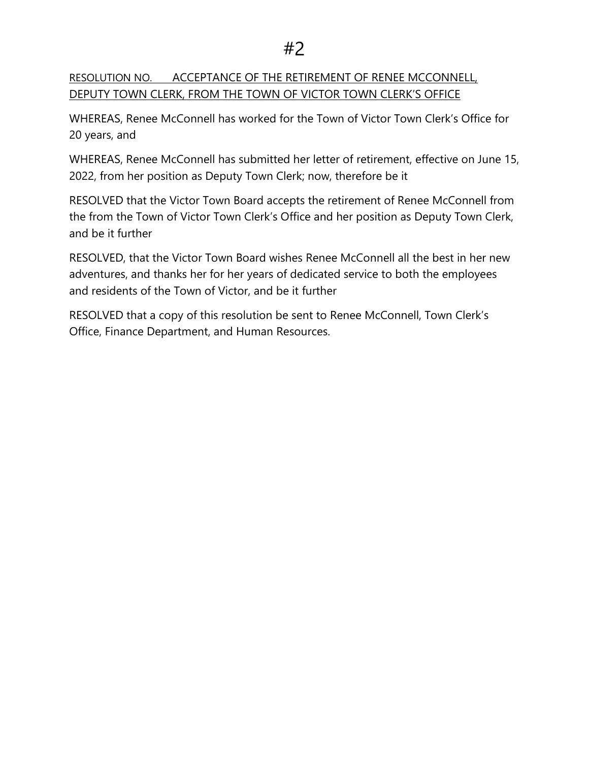RESOLUTION NO. ACCEPTANCE OF THE RETIREMENT OF RENEE MCCONNELL, DEPUTY TOWN CLERK, FROM THE TOWN OF VICTOR TOWN CLERK'S OFFICE

WHEREAS, Renee McConnell has worked for the Town of Victor Town Clerk's Office for 20 years, and

WHEREAS, Renee McConnell has submitted her letter of retirement, effective on June 15, 2022, from her position as Deputy Town Clerk; now, therefore be it

RESOLVED that the Victor Town Board accepts the retirement of Renee McConnell from the from the Town of Victor Town Clerk's Office and her position as Deputy Town Clerk, and be it further

RESOLVED, that the Victor Town Board wishes Renee McConnell all the best in her new adventures, and thanks her for her years of dedicated service to both the employees and residents of the Town of Victor, and be it further

RESOLVED that a copy of this resolution be sent to Renee McConnell, Town Clerk's Office, Finance Department, and Human Resources.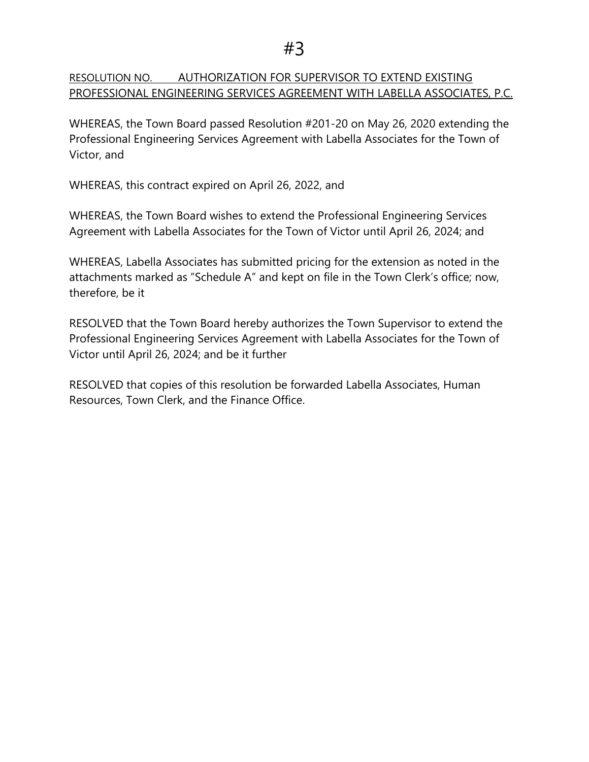## RESOLUTION NO. AUTHORIZATION FOR SUPERVISOR TO EXTEND EXISTING PROFESSIONAL ENGINEERING SERVICES AGREEMENT WITH LABELLA ASSOCIATES, P.C.

WHEREAS, the Town Board passed Resolution #201-20 on May 26, 2020 extending the Professional Engineering Services Agreement with Labella Associates for the Town of Victor, and

WHEREAS, this contract expired on April 26, 2022, and

WHEREAS, the Town Board wishes to extend the Professional Engineering Services Agreement with Labella Associates for the Town of Victor until April 26, 2024; and

WHEREAS, Labella Associates has submitted pricing for the extension as noted in the attachments marked as "Schedule A" and kept on file in the Town Clerk's office; now, therefore, be it

RESOLVED that the Town Board hereby authorizes the Town Supervisor to extend the Professional Engineering Services Agreement with Labella Associates for the Town of Victor until April 26, 2024; and be it further

RESOLVED that copies of this resolution be forwarded Labella Associates, Human Resources, Town Clerk, and the Finance Office.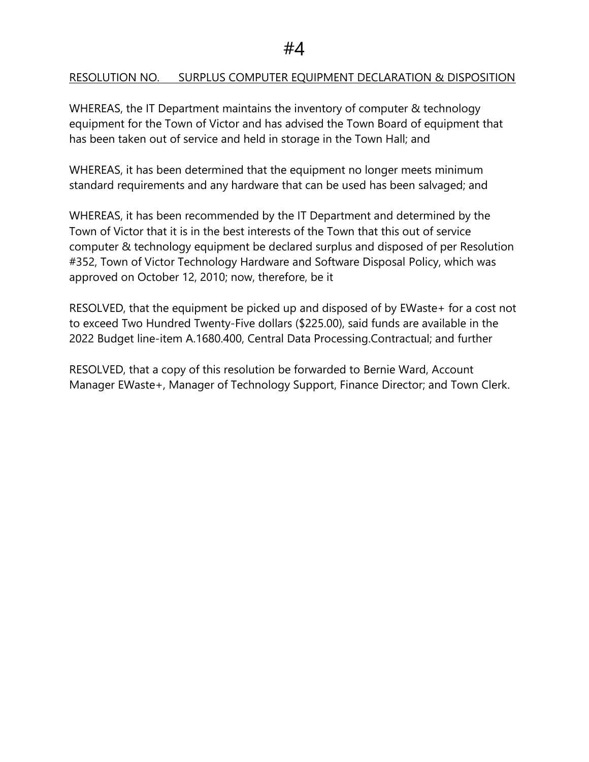## RESOLUTION NO. SURPLUS COMPUTER EQUIPMENT DECLARATION & DISPOSITION

WHEREAS, the IT Department maintains the inventory of computer & technology equipment for the Town of Victor and has advised the Town Board of equipment that has been taken out of service and held in storage in the Town Hall; and

WHEREAS, it has been determined that the equipment no longer meets minimum standard requirements and any hardware that can be used has been salvaged; and

WHEREAS, it has been recommended by the IT Department and determined by the Town of Victor that it is in the best interests of the Town that this out of service computer & technology equipment be declared surplus and disposed of per Resolution #352, Town of Victor Technology Hardware and Software Disposal Policy, which was approved on October 12, 2010; now, therefore, be it

RESOLVED, that the equipment be picked up and disposed of by EWaste+ for a cost not to exceed Two Hundred Twenty-Five dollars (\$225.00), said funds are available in the 2022 Budget line-item A.1680.400, Central Data Processing.Contractual; and further

RESOLVED, that a copy of this resolution be forwarded to Bernie Ward, Account Manager EWaste+, Manager of Technology Support, Finance Director; and Town Clerk.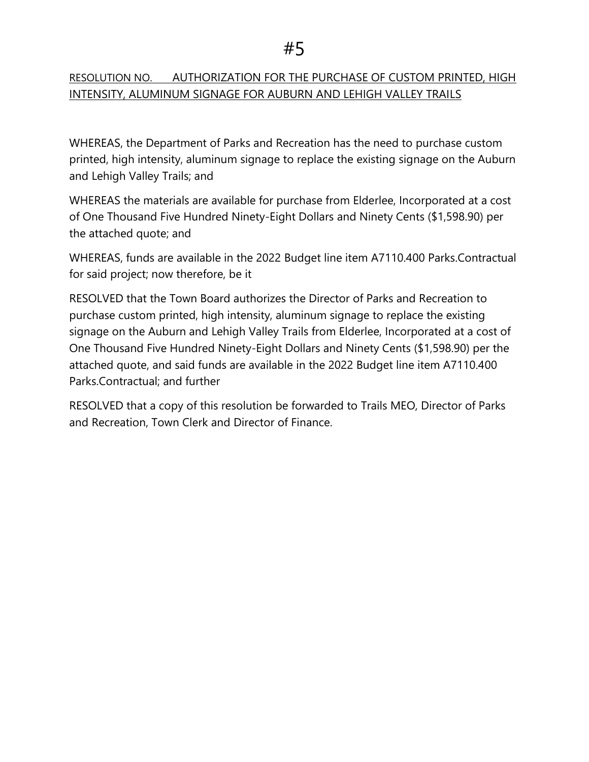## RESOLUTION NO. AUTHORIZATION FOR THE PURCHASE OF CUSTOM PRINTED, HIGH INTENSITY, ALUMINUM SIGNAGE FOR AUBURN AND LEHIGH VALLEY TRAILS

WHEREAS, the Department of Parks and Recreation has the need to purchase custom printed, high intensity, aluminum signage to replace the existing signage on the Auburn and Lehigh Valley Trails; and

WHEREAS the materials are available for purchase from Elderlee, Incorporated at a cost of One Thousand Five Hundred Ninety-Eight Dollars and Ninety Cents (\$1,598.90) per the attached quote; and

WHEREAS, funds are available in the 2022 Budget line item A7110.400 Parks.Contractual for said project; now therefore, be it

RESOLVED that the Town Board authorizes the Director of Parks and Recreation to purchase custom printed, high intensity, aluminum signage to replace the existing signage on the Auburn and Lehigh Valley Trails from Elderlee, Incorporated at a cost of One Thousand Five Hundred Ninety-Eight Dollars and Ninety Cents (\$1,598.90) per the attached quote, and said funds are available in the 2022 Budget line item A7110.400 Parks.Contractual; and further

RESOLVED that a copy of this resolution be forwarded to Trails MEO, Director of Parks and Recreation, Town Clerk and Director of Finance.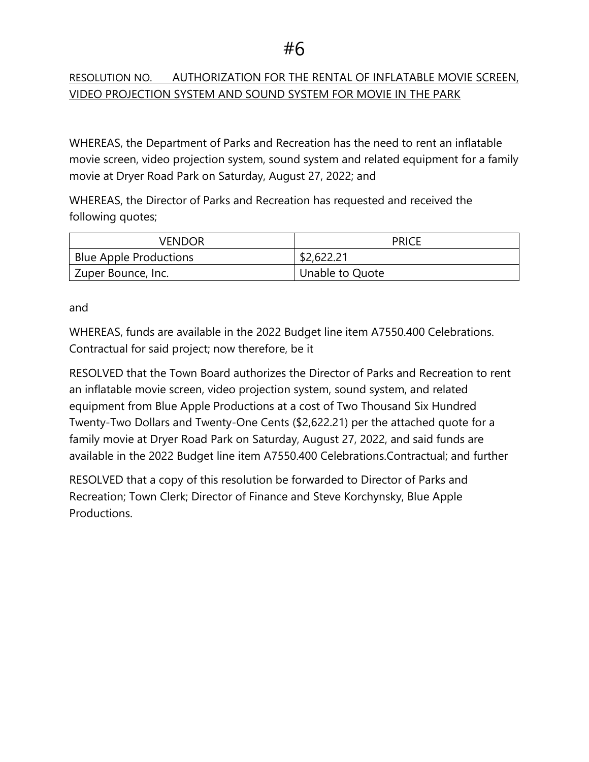## RESOLUTION NO. AUTHORIZATION FOR THE RENTAL OF INFLATABLE MOVIE SCREEN, VIDEO PROJECTION SYSTEM AND SOUND SYSTEM FOR MOVIE IN THE PARK

WHEREAS, the Department of Parks and Recreation has the need to rent an inflatable movie screen, video projection system, sound system and related equipment for a family movie at Dryer Road Park on Saturday, August 27, 2022; and

WHEREAS, the Director of Parks and Recreation has requested and received the following quotes;

| VENDOR                          | <b>PRICE</b>    |
|---------------------------------|-----------------|
| Blue Apple Productions          | \$2,622.21      |
| <sup>1</sup> Zuper Bounce, Inc. | Unable to Quote |

and

WHEREAS, funds are available in the 2022 Budget line item A7550.400 Celebrations. Contractual for said project; now therefore, be it

RESOLVED that the Town Board authorizes the Director of Parks and Recreation to rent an inflatable movie screen, video projection system, sound system, and related equipment from Blue Apple Productions at a cost of Two Thousand Six Hundred Twenty-Two Dollars and Twenty-One Cents (\$2,622.21) per the attached quote for a family movie at Dryer Road Park on Saturday, August 27, 2022, and said funds are available in the 2022 Budget line item A7550.400 Celebrations.Contractual; and further

RESOLVED that a copy of this resolution be forwarded to Director of Parks and Recreation; Town Clerk; Director of Finance and Steve Korchynsky, Blue Apple Productions.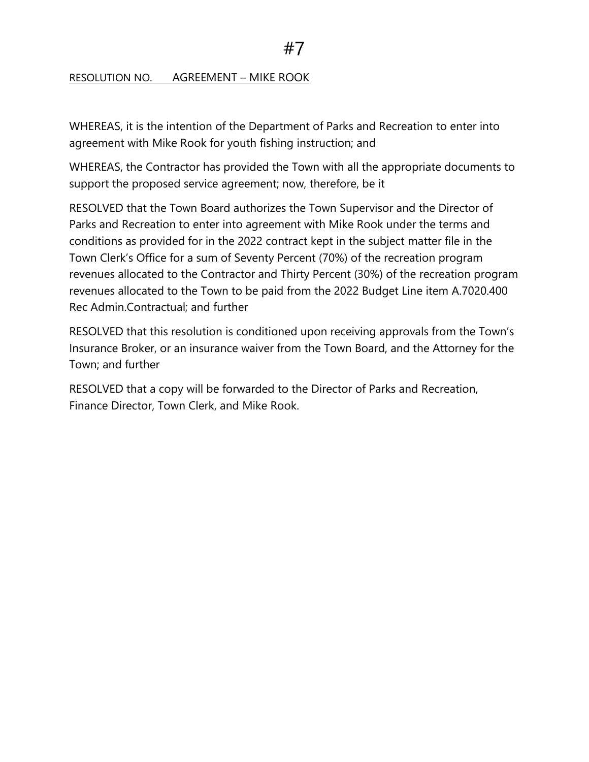#### RESOLUTION NO. AGREEMENT – MIKE ROOK

WHEREAS, it is the intention of the Department of Parks and Recreation to enter into agreement with Mike Rook for youth fishing instruction; and

WHEREAS, the Contractor has provided the Town with all the appropriate documents to support the proposed service agreement; now, therefore, be it

RESOLVED that the Town Board authorizes the Town Supervisor and the Director of Parks and Recreation to enter into agreement with Mike Rook under the terms and conditions as provided for in the 2022 contract kept in the subject matter file in the Town Clerk's Office for a sum of Seventy Percent (70%) of the recreation program revenues allocated to the Contractor and Thirty Percent (30%) of the recreation program revenues allocated to the Town to be paid from the 2022 Budget Line item A.7020.400 Rec Admin.Contractual; and further

RESOLVED that this resolution is conditioned upon receiving approvals from the Town's Insurance Broker, or an insurance waiver from the Town Board, and the Attorney for the Town; and further

RESOLVED that a copy will be forwarded to the Director of Parks and Recreation, Finance Director, Town Clerk, and Mike Rook.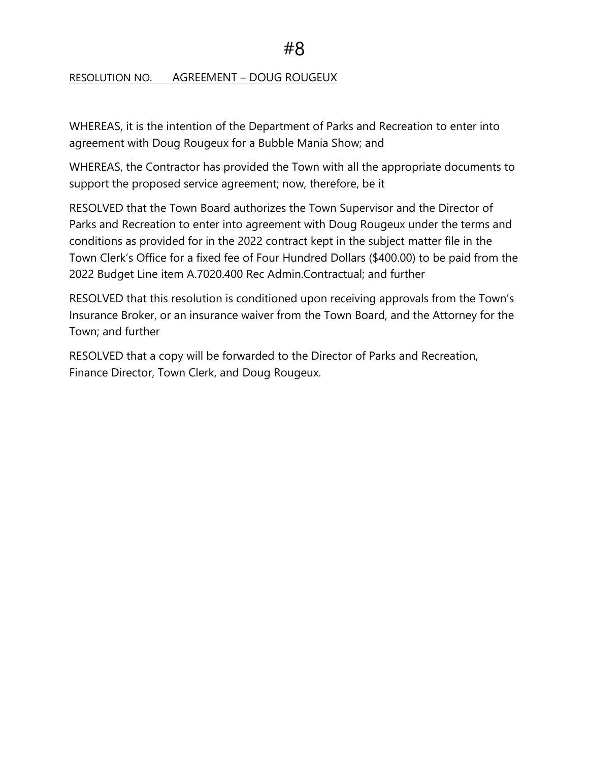#### RESOLUTION NO. AGREEMENT – DOUG ROUGEUX

WHEREAS, it is the intention of the Department of Parks and Recreation to enter into agreement with Doug Rougeux for a Bubble Mania Show; and

WHEREAS, the Contractor has provided the Town with all the appropriate documents to support the proposed service agreement; now, therefore, be it

RESOLVED that the Town Board authorizes the Town Supervisor and the Director of Parks and Recreation to enter into agreement with Doug Rougeux under the terms and conditions as provided for in the 2022 contract kept in the subject matter file in the Town Clerk's Office for a fixed fee of Four Hundred Dollars (\$400.00) to be paid from the 2022 Budget Line item A.7020.400 Rec Admin.Contractual; and further

RESOLVED that this resolution is conditioned upon receiving approvals from the Town's Insurance Broker, or an insurance waiver from the Town Board, and the Attorney for the Town; and further

RESOLVED that a copy will be forwarded to the Director of Parks and Recreation, Finance Director, Town Clerk, and Doug Rougeux.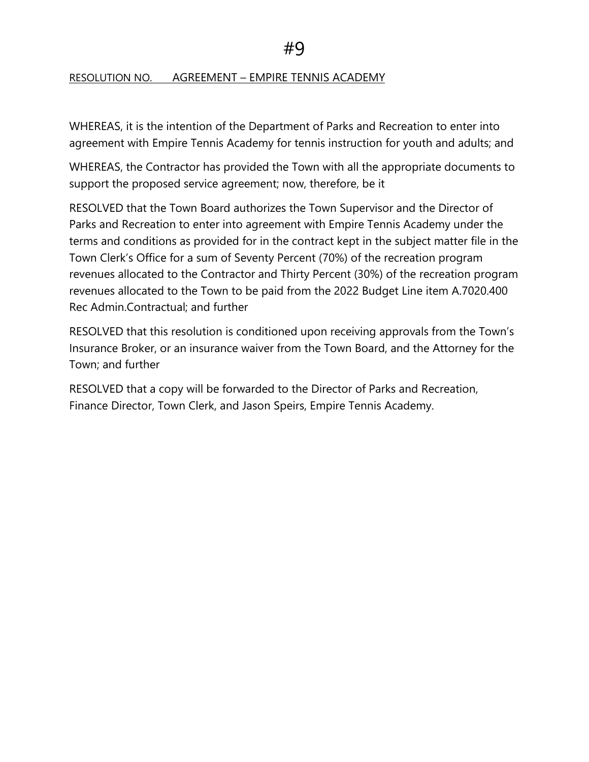## RESOLUTION NO. AGREEMENT – EMPIRE TENNIS ACADEMY

WHEREAS, it is the intention of the Department of Parks and Recreation to enter into agreement with Empire Tennis Academy for tennis instruction for youth and adults; and

WHEREAS, the Contractor has provided the Town with all the appropriate documents to support the proposed service agreement; now, therefore, be it

RESOLVED that the Town Board authorizes the Town Supervisor and the Director of Parks and Recreation to enter into agreement with Empire Tennis Academy under the terms and conditions as provided for in the contract kept in the subject matter file in the Town Clerk's Office for a sum of Seventy Percent (70%) of the recreation program revenues allocated to the Contractor and Thirty Percent (30%) of the recreation program revenues allocated to the Town to be paid from the 2022 Budget Line item A.7020.400 Rec Admin.Contractual; and further

RESOLVED that this resolution is conditioned upon receiving approvals from the Town's Insurance Broker, or an insurance waiver from the Town Board, and the Attorney for the Town; and further

RESOLVED that a copy will be forwarded to the Director of Parks and Recreation, Finance Director, Town Clerk, and Jason Speirs, Empire Tennis Academy.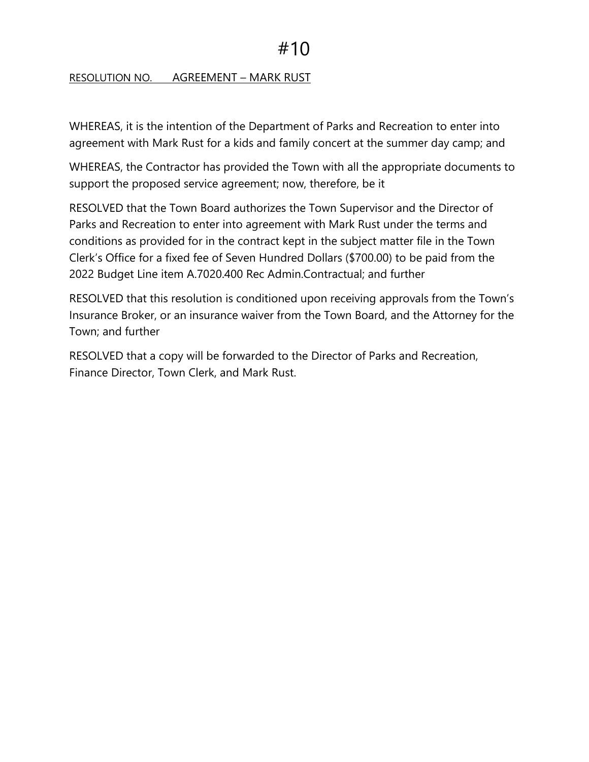## RESOLUTION NO. AGREEMENT – MARK RUST

WHEREAS, it is the intention of the Department of Parks and Recreation to enter into agreement with Mark Rust for a kids and family concert at the summer day camp; and

WHEREAS, the Contractor has provided the Town with all the appropriate documents to support the proposed service agreement; now, therefore, be it

RESOLVED that the Town Board authorizes the Town Supervisor and the Director of Parks and Recreation to enter into agreement with Mark Rust under the terms and conditions as provided for in the contract kept in the subject matter file in the Town Clerk's Office for a fixed fee of Seven Hundred Dollars (\$700.00) to be paid from the 2022 Budget Line item A.7020.400 Rec Admin.Contractual; and further

RESOLVED that this resolution is conditioned upon receiving approvals from the Town's Insurance Broker, or an insurance waiver from the Town Board, and the Attorney for the Town; and further

RESOLVED that a copy will be forwarded to the Director of Parks and Recreation, Finance Director, Town Clerk, and Mark Rust.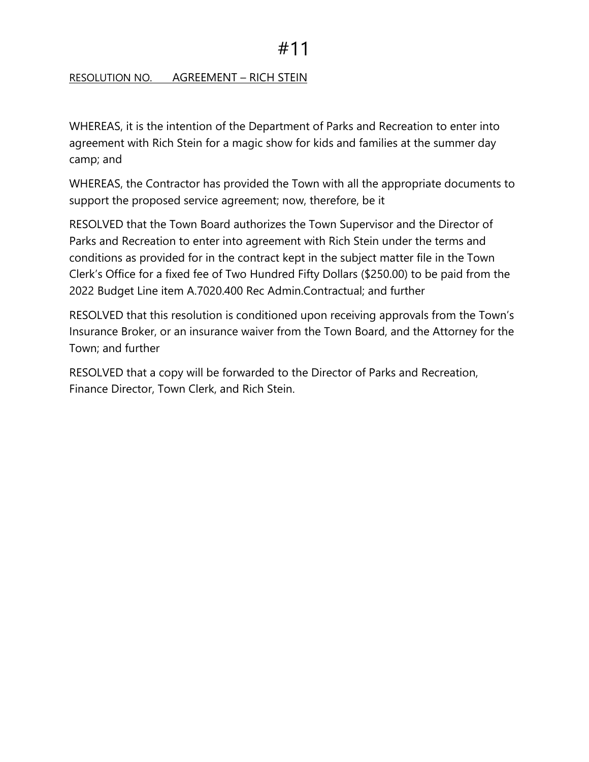## RESOLUTION NO. AGREEMENT – RICH STEIN

WHEREAS, it is the intention of the Department of Parks and Recreation to enter into agreement with Rich Stein for a magic show for kids and families at the summer day camp; and

WHEREAS, the Contractor has provided the Town with all the appropriate documents to support the proposed service agreement; now, therefore, be it

RESOLVED that the Town Board authorizes the Town Supervisor and the Director of Parks and Recreation to enter into agreement with Rich Stein under the terms and conditions as provided for in the contract kept in the subject matter file in the Town Clerk's Office for a fixed fee of Two Hundred Fifty Dollars (\$250.00) to be paid from the 2022 Budget Line item A.7020.400 Rec Admin.Contractual; and further

RESOLVED that this resolution is conditioned upon receiving approvals from the Town's Insurance Broker, or an insurance waiver from the Town Board, and the Attorney for the Town; and further

RESOLVED that a copy will be forwarded to the Director of Parks and Recreation, Finance Director, Town Clerk, and Rich Stein.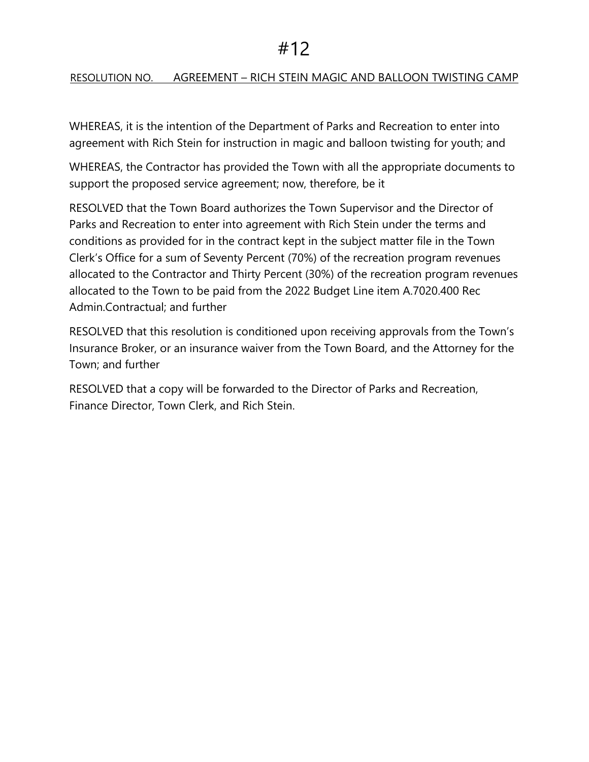## RESOLUTION NO. AGREEMENT – RICH STEIN MAGIC AND BALLOON TWISTING CAMP

WHEREAS, it is the intention of the Department of Parks and Recreation to enter into agreement with Rich Stein for instruction in magic and balloon twisting for youth; and

WHEREAS, the Contractor has provided the Town with all the appropriate documents to support the proposed service agreement; now, therefore, be it

RESOLVED that the Town Board authorizes the Town Supervisor and the Director of Parks and Recreation to enter into agreement with Rich Stein under the terms and conditions as provided for in the contract kept in the subject matter file in the Town Clerk's Office for a sum of Seventy Percent (70%) of the recreation program revenues allocated to the Contractor and Thirty Percent (30%) of the recreation program revenues allocated to the Town to be paid from the 2022 Budget Line item A.7020.400 Rec Admin.Contractual; and further

RESOLVED that this resolution is conditioned upon receiving approvals from the Town's Insurance Broker, or an insurance waiver from the Town Board, and the Attorney for the Town; and further

RESOLVED that a copy will be forwarded to the Director of Parks and Recreation, Finance Director, Town Clerk, and Rich Stein.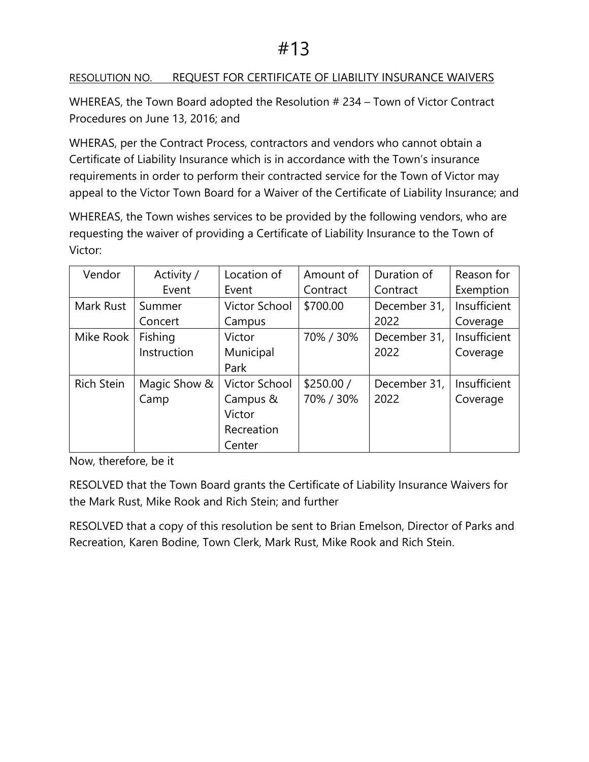## RESOLUTION NO. REQUEST FOR CERTIFICATE OF LIABILITY INSURANCE WAIVERS

WHEREAS, the Town Board adopted the Resolution # 234 – Town of Victor Contract Procedures on June 13, 2016; and

WHERAS, per the Contract Process, contractors and vendors who cannot obtain a Certificate of Liability Insurance which is in accordance with the Town's insurance requirements in order to perform their contracted service for the Town of Victor may appeal to the Victor Town Board for a Waiver of the Certificate of Liability Insurance; and

WHEREAS, the Town wishes services to be provided by the following vendors, who are requesting the waiver of providing a Certificate of Liability Insurance to the Town of Victor:

| Vendor     | Activity /   | Location of          | Amount of  | Duration of  | Reason for   |
|------------|--------------|----------------------|------------|--------------|--------------|
|            | Event        | Event                | Contract   | Contract     | Exemption    |
| Mark Rust  | Summer       | <b>Victor School</b> | \$700.00   | December 31, | Insufficient |
|            | Concert      | Campus               |            | 2022         | Coverage     |
| Mike Rook  | Fishing      | Victor               | 70% / 30%  | December 31, | Insufficient |
|            | Instruction  | Municipal            |            | 2022         | Coverage     |
|            |              | Park                 |            |              |              |
| Rich Stein | Magic Show & | Victor School        | \$250.00 / | December 31, | Insufficient |
|            | Camp         | Campus &             | 70% / 30%  | 2022         | Coverage     |
|            |              | Victor               |            |              |              |
|            |              | Recreation           |            |              |              |
|            |              | Center               |            |              |              |

Now, therefore, be it

RESOLVED that the Town Board grants the Certificate of Liability Insurance Waivers for the Mark Rust, Mike Rook and Rich Stein; and further

RESOLVED that a copy of this resolution be sent to Brian Emelson, Director of Parks and Recreation, Karen Bodine, Town Clerk, Mark Rust, Mike Rook and Rich Stein.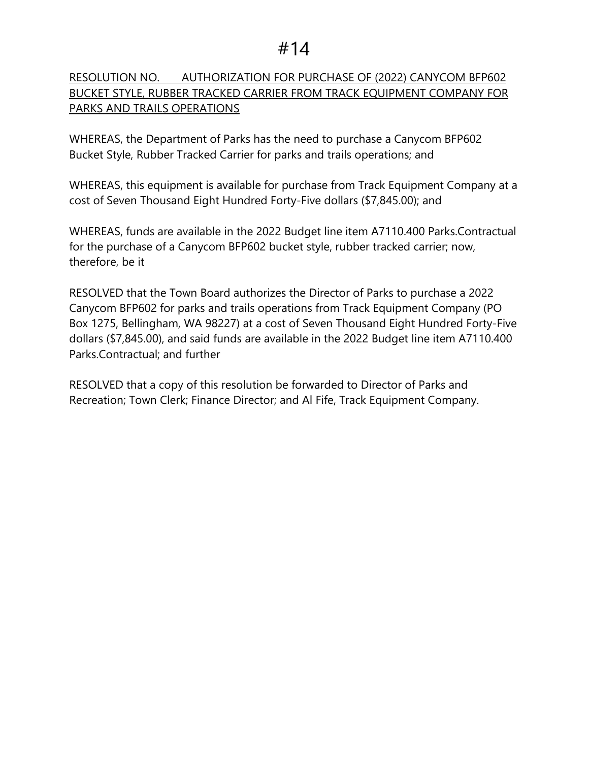## RESOLUTION NO. AUTHORIZATION FOR PURCHASE OF (2022) CANYCOM BFP602 BUCKET STYLE, RUBBER TRACKED CARRIER FROM TRACK EQUIPMENT COMPANY FOR PARKS AND TRAILS OPERATIONS

WHEREAS, the Department of Parks has the need to purchase a Canycom BFP602 Bucket Style, Rubber Tracked Carrier for parks and trails operations; and

WHEREAS, this equipment is available for purchase from Track Equipment Company at a cost of Seven Thousand Eight Hundred Forty-Five dollars (\$7,845.00); and

WHEREAS, funds are available in the 2022 Budget line item A7110.400 Parks.Contractual for the purchase of a Canycom BFP602 bucket style, rubber tracked carrier; now, therefore, be it

RESOLVED that the Town Board authorizes the Director of Parks to purchase a 2022 Canycom BFP602 for parks and trails operations from Track Equipment Company (PO Box 1275, Bellingham, WA 98227) at a cost of Seven Thousand Eight Hundred Forty-Five dollars (\$7,845.00), and said funds are available in the 2022 Budget line item A7110.400 Parks.Contractual; and further

RESOLVED that a copy of this resolution be forwarded to Director of Parks and Recreation; Town Clerk; Finance Director; and Al Fife, Track Equipment Company.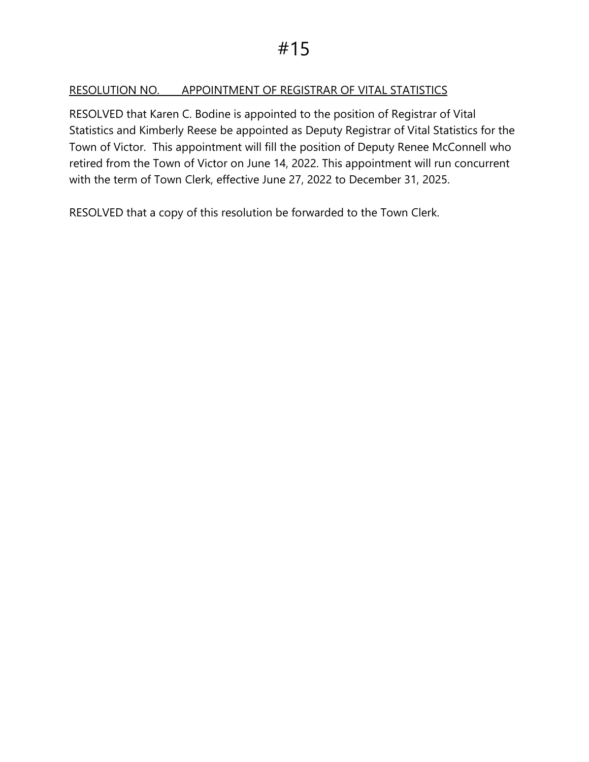## RESOLUTION NO. APPOINTMENT OF REGISTRAR OF VITAL STATISTICS

RESOLVED that Karen C. Bodine is appointed to the position of Registrar of Vital Statistics and Kimberly Reese be appointed as Deputy Registrar of Vital Statistics for the Town of Victor. This appointment will fill the position of Deputy Renee McConnell who retired from the Town of Victor on June 14, 2022. This appointment will run concurrent with the term of Town Clerk, effective June 27, 2022 to December 31, 2025.

RESOLVED that a copy of this resolution be forwarded to the Town Clerk.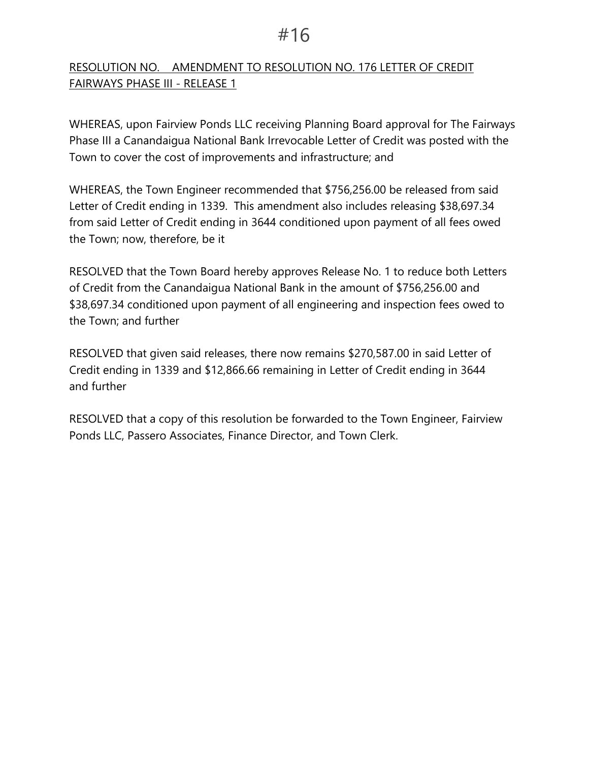## RESOLUTION NO. AMENDMENT TO RESOLUTION NO. 176 LETTER OF CREDIT FAIRWAYS PHASE III - RELEASE 1

WHEREAS, upon Fairview Ponds LLC receiving Planning Board approval for The Fairways Phase III a Canandaigua National Bank Irrevocable Letter of Credit was posted with the Town to cover the cost of improvements and infrastructure; and

WHEREAS, the Town Engineer recommended that \$756,256.00 be released from said Letter of Credit ending in 1339. This amendment also includes releasing \$38,697.34 from said Letter of Credit ending in 3644 conditioned upon payment of all fees owed the Town; now, therefore, be it

RESOLVED that the Town Board hereby approves Release No. 1 to reduce both Letters of Credit from the Canandaigua National Bank in the amount of \$756,256.00 and \$38,697.34 conditioned upon payment of all engineering and inspection fees owed to the Town; and further

RESOLVED that given said releases, there now remains \$270,587.00 in said Letter of Credit ending in 1339 and \$12,866.66 remaining in Letter of Credit ending in 3644 and further

RESOLVED that a copy of this resolution be forwarded to the Town Engineer, Fairview Ponds LLC, Passero Associates, Finance Director, and Town Clerk.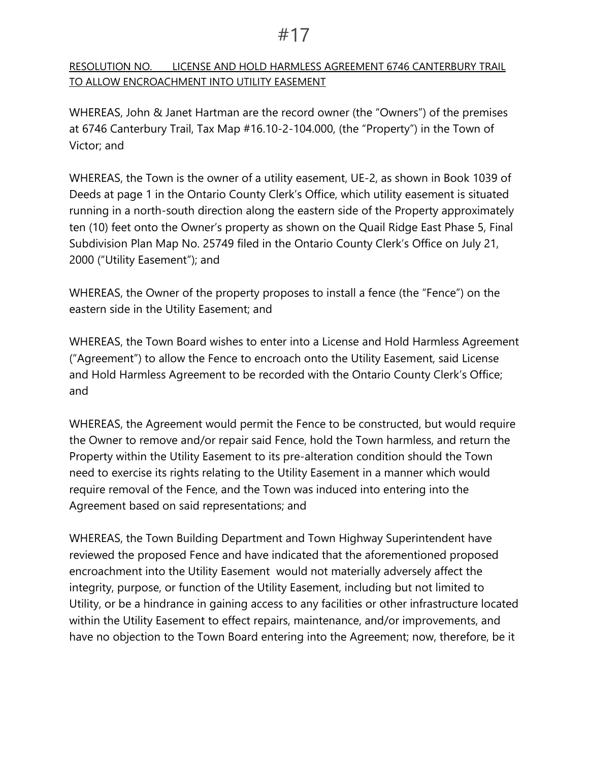## RESOLUTION NO. LICENSE AND HOLD HARMLESS AGREEMENT 6746 CANTERBURY TRAIL TO ALLOW ENCROACHMENT INTO UTILITY EASEMENT

WHEREAS, John & Janet Hartman are the record owner (the "Owners") of the premises at 6746 Canterbury Trail, Tax Map #16.10-2-104.000, (the "Property") in the Town of Victor; and

WHEREAS, the Town is the owner of a utility easement, UE-2, as shown in Book 1039 of Deeds at page 1 in the Ontario County Clerk's Office, which utility easement is situated running in a north-south direction along the eastern side of the Property approximately ten (10) feet onto the Owner's property as shown on the Quail Ridge East Phase 5, Final Subdivision Plan Map No. 25749 filed in the Ontario County Clerk's Office on July 21, 2000 ("Utility Easement"); and

WHEREAS, the Owner of the property proposes to install a fence (the "Fence") on the eastern side in the Utility Easement; and

WHEREAS, the Town Board wishes to enter into a License and Hold Harmless Agreement ("Agreement") to allow the Fence to encroach onto the Utility Easement, said License and Hold Harmless Agreement to be recorded with the Ontario County Clerk's Office; and

WHEREAS, the Agreement would permit the Fence to be constructed, but would require the Owner to remove and/or repair said Fence, hold the Town harmless, and return the Property within the Utility Easement to its pre-alteration condition should the Town need to exercise its rights relating to the Utility Easement in a manner which would require removal of the Fence, and the Town was induced into entering into the Agreement based on said representations; and

WHEREAS, the Town Building Department and Town Highway Superintendent have reviewed the proposed Fence and have indicated that the aforementioned proposed encroachment into the Utility Easement would not materially adversely affect the integrity, purpose, or function of the Utility Easement, including but not limited to Utility, or be a hindrance in gaining access to any facilities or other infrastructure located within the Utility Easement to effect repairs, maintenance, and/or improvements, and have no objection to the Town Board entering into the Agreement; now, therefore, be it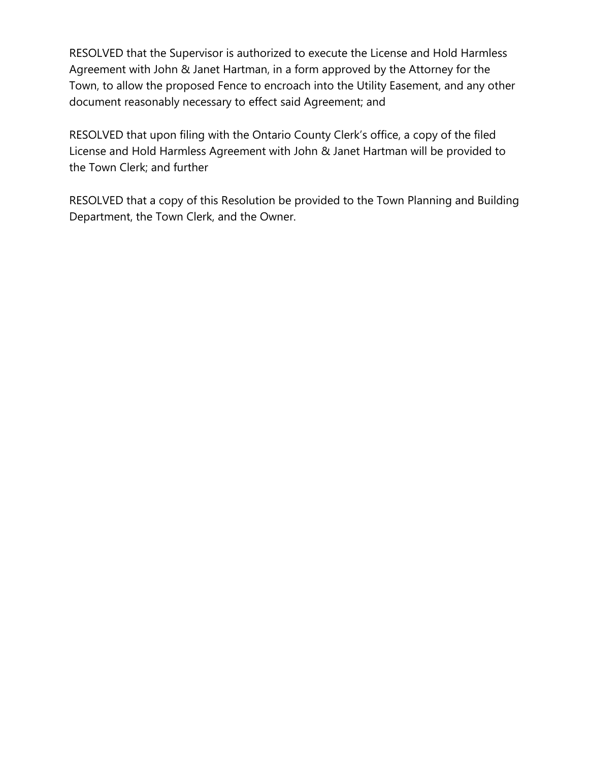RESOLVED that the Supervisor is authorized to execute the License and Hold Harmless Agreement with John & Janet Hartman, in a form approved by the Attorney for the Town, to allow the proposed Fence to encroach into the Utility Easement, and any other document reasonably necessary to effect said Agreement; and

RESOLVED that upon filing with the Ontario County Clerk's office, a copy of the filed License and Hold Harmless Agreement with John & Janet Hartman will be provided to the Town Clerk; and further

RESOLVED that a copy of this Resolution be provided to the Town Planning and Building Department, the Town Clerk, and the Owner.